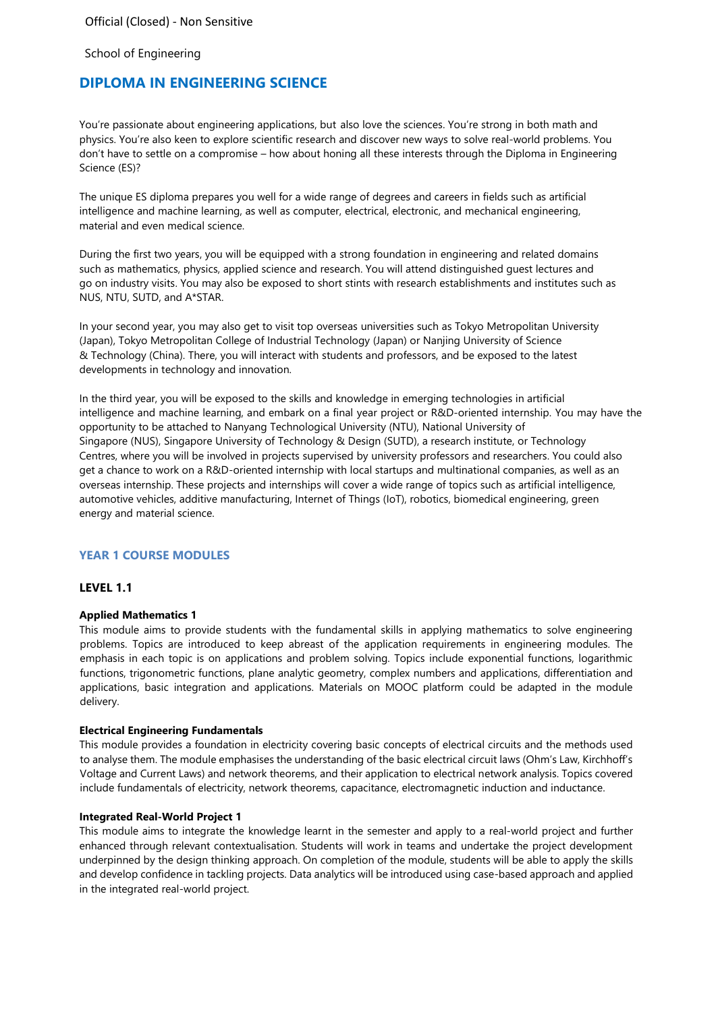Official (Closed) - Non Sensitive

School of Engineering

# **DIPLOMA IN ENGINEERING SCIENCE**

You're passionate about engineering applications, but also love the sciences. You're strong in both math and physics. You're also keen to explore scientific research and discover new ways to solve real-world problems. You don't have to settle on a compromise – how about honing all these interests through the Diploma in Engineering Science (ES)?

The unique ES diploma prepares you well for a wide range of degrees and careers in fields such as artificial intelligence and machine learning, as well as computer, electrical, electronic, and mechanical engineering, material and even medical science.

During the first two years, you will be equipped with a strong foundation in engineering and related domains such as mathematics, physics, applied science and research. You will attend distinguished guest lectures and go on industry visits. You may also be exposed to short stints with research establishments and institutes such as NUS, NTU, SUTD, and A\*STAR.

In your second year, you may also get to visit top overseas universities such as Tokyo Metropolitan University (Japan), Tokyo Metropolitan College of Industrial Technology (Japan) or Nanjing University of Science & Technology (China). There, you will interact with students and professors, and be exposed to the latest developments in technology and innovation.

In the third year, you will be exposed to the skills and knowledge in emerging technologies in artificial intelligence and machine learning, and embark on a final year project or R&D-oriented internship. You may have the opportunity to be attached to Nanyang Technological University (NTU), National University of Singapore (NUS), Singapore University of Technology & Design (SUTD), a research institute, or Technology Centres, where you will be involved in projects supervised by university professors and researchers. You could also get a chance to work on a R&D-oriented internship with local startups and multinational companies, as well as an overseas internship. These projects and internships will cover a wide range of topics such as artificial intelligence, automotive vehicles, additive manufacturing, Internet of Things (IoT), robotics, biomedical engineering, green energy and material science.

### **YEAR 1 COURSE MODULES**

## **LEVEL 1.1**

#### **Applied Mathematics 1**

This module aims to provide students with the fundamental skills in applying mathematics to solve engineering problems. Topics are introduced to keep abreast of the application requirements in engineering modules. The emphasis in each topic is on applications and problem solving. Topics include exponential functions, logarithmic functions, trigonometric functions, plane analytic geometry, complex numbers and applications, differentiation and applications, basic integration and applications. Materials on MOOC platform could be adapted in the module delivery.

#### **Electrical Engineering Fundamentals**

This module provides a foundation in electricity covering basic concepts of electrical circuits and the methods used to analyse them. The module emphasises the understanding of the basic electrical circuit laws (Ohm's Law, Kirchhoff's Voltage and Current Laws) and network theorems, and their application to electrical network analysis. Topics covered include fundamentals of electricity, network theorems, capacitance, electromagnetic induction and inductance.

#### **Integrated Real-World Project 1**

This module aims to integrate the knowledge learnt in the semester and apply to a real-world project and further enhanced through relevant contextualisation. Students will work in teams and undertake the project development underpinned by the design thinking approach. On completion of the module, students will be able to apply the skills and develop confidence in tackling projects. Data analytics will be introduced using case-based approach and applied in the integrated real-world project.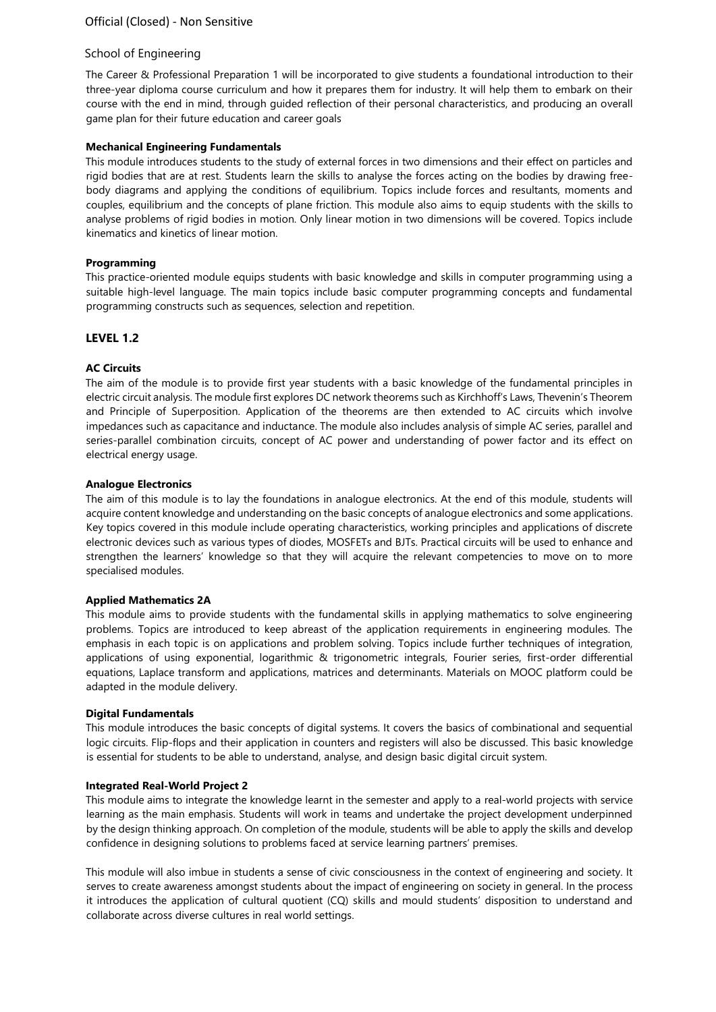The Career & Professional Preparation 1 will be incorporated to give students a foundational introduction to their three-year diploma course curriculum and how it prepares them for industry. It will help them to embark on their course with the end in mind, through guided reflection of their personal characteristics, and producing an overall game plan for their future education and career goals

### **Mechanical Engineering Fundamentals**

This module introduces students to the study of external forces in two dimensions and their effect on particles and rigid bodies that are at rest. Students learn the skills to analyse the forces acting on the bodies by drawing freebody diagrams and applying the conditions of equilibrium. Topics include forces and resultants, moments and couples, equilibrium and the concepts of plane friction. This module also aims to equip students with the skills to analyse problems of rigid bodies in motion. Only linear motion in two dimensions will be covered. Topics include kinematics and kinetics of linear motion.

# **Programming**

This practice-oriented module equips students with basic knowledge and skills in computer programming using a suitable high-level language. The main topics include basic computer programming concepts and fundamental programming constructs such as sequences, selection and repetition.

# **LEVEL 1.2**

# **AC Circuits**

The aim of the module is to provide first year students with a basic knowledge of the fundamental principles in electric circuit analysis. The module first explores DC network theorems such as Kirchhoff's Laws, Thevenin's Theorem and Principle of Superposition. Application of the theorems are then extended to AC circuits which involve impedances such as capacitance and inductance. The module also includes analysis of simple AC series, parallel and series-parallel combination circuits, concept of AC power and understanding of power factor and its effect on electrical energy usage.

### **Analogue Electronics**

The aim of this module is to lay the foundations in analogue electronics. At the end of this module, students will acquire content knowledge and understanding on the basic concepts of analogue electronics and some applications. Key topics covered in this module include operating characteristics, working principles and applications of discrete electronic devices such as various types of diodes, MOSFETs and BJTs. Practical circuits will be used to enhance and strengthen the learners' knowledge so that they will acquire the relevant competencies to move on to more specialised modules.

### **Applied Mathematics 2A**

This module aims to provide students with the fundamental skills in applying mathematics to solve engineering problems. Topics are introduced to keep abreast of the application requirements in engineering modules. The emphasis in each topic is on applications and problem solving. Topics include further techniques of integration, applications of using exponential, logarithmic & trigonometric integrals, Fourier series, first-order differential equations, Laplace transform and applications, matrices and determinants. Materials on MOOC platform could be adapted in the module delivery.

### **Digital Fundamentals**

This module introduces the basic concepts of digital systems. It covers the basics of combinational and sequential logic circuits. Flip-flops and their application in counters and registers will also be discussed. This basic knowledge is essential for students to be able to understand, analyse, and design basic digital circuit system.

### **Integrated Real-World Project 2**

This module aims to integrate the knowledge learnt in the semester and apply to a real-world projects with service learning as the main emphasis. Students will work in teams and undertake the project development underpinned by the design thinking approach. On completion of the module, students will be able to apply the skills and develop confidence in designing solutions to problems faced at service learning partners' premises.

This module will also imbue in students a sense of civic consciousness in the context of engineering and society. It serves to create awareness amongst students about the impact of engineering on society in general. In the process it introduces the application of cultural quotient (CQ) skills and mould students' disposition to understand and collaborate across diverse cultures in real world settings.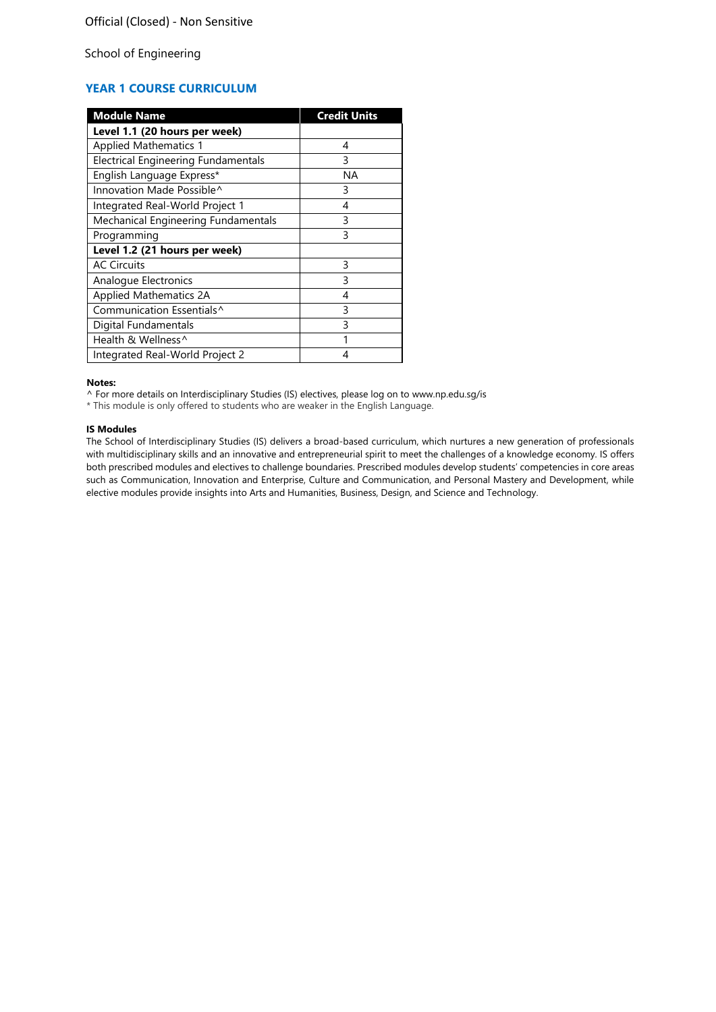# **YEAR 1 COURSE CURRICULUM**

| <b>Module Name</b>                         | <b>Credit Units</b> |
|--------------------------------------------|---------------------|
| Level 1.1 (20 hours per week)              |                     |
| <b>Applied Mathematics 1</b>               | 4                   |
| <b>Electrical Engineering Fundamentals</b> | 3                   |
| English Language Express*                  | ΝA                  |
| Innovation Made Possible^                  | 3                   |
| Integrated Real-World Project 1            | 4                   |
| Mechanical Engineering Fundamentals        | 3                   |
| Programming                                | 3                   |
| Level 1.2 (21 hours per week)              |                     |
| <b>AC Circuits</b>                         | 3                   |
| Analogue Electronics                       | 3                   |
| <b>Applied Mathematics 2A</b>              | 4                   |
| Communication Essentials^                  | 3                   |
| Digital Fundamentals                       | 3                   |
| Health & Wellness <sup>^</sup>             | 1                   |
| Integrated Real-World Project 2            |                     |

**Notes:**

^ For more details on Interdisciplinary Studies (IS) electives, please log on to [www.np.edu.sg/is](http://www.np.edu.sg/is/)

\* This module is only offered to students who are weaker in the English Language.

#### **IS Modules**

The School of Interdisciplinary Studies (IS) delivers a broad-based curriculum, which nurtures a new generation of professionals with multidisciplinary skills and an innovative and entrepreneurial spirit to meet the challenges of a knowledge economy. IS offers both prescribed modules and electives to challenge boundaries. Prescribed modules develop students' competencies in core areas such as Communication, Innovation and Enterprise, Culture and Communication, and Personal Mastery and Development, while elective modules provide insights into Arts and Humanities, Business, Design, and Science and Technology.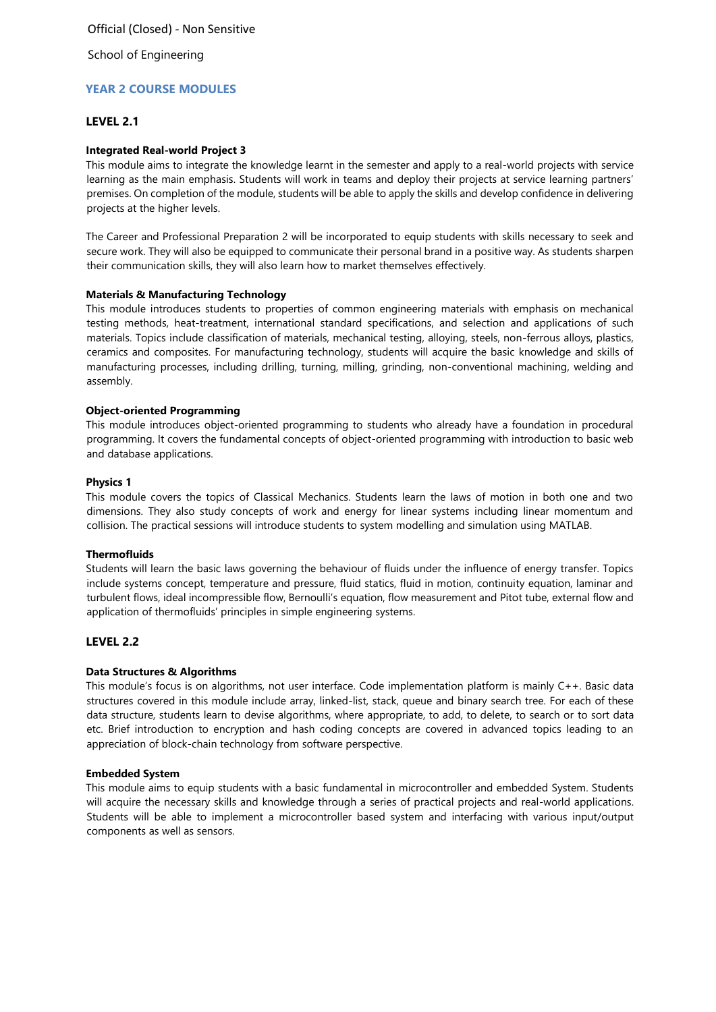# **YEAR 2 COURSE MODULES**

### **LEVEL 2.1**

### **Integrated Real-world Project 3**

This module aims to integrate the knowledge learnt in the semester and apply to a real-world projects with service learning as the main emphasis. Students will work in teams and deploy their projects at service learning partners' premises. On completion of the module, students will be able to apply the skills and develop confidence in delivering projects at the higher levels.

The Career and Professional Preparation 2 will be incorporated to equip students with skills necessary to seek and secure work. They will also be equipped to communicate their personal brand in a positive way. As students sharpen their communication skills, they will also learn how to market themselves effectively.

### **Materials & Manufacturing Technology**

This module introduces students to properties of common engineering materials with emphasis on mechanical testing methods, heat-treatment, international standard specifications, and selection and applications of such materials. Topics include classification of materials, mechanical testing, alloying, steels, non-ferrous alloys, plastics, ceramics and composites. For manufacturing technology, students will acquire the basic knowledge and skills of manufacturing processes, including drilling, turning, milling, grinding, non-conventional machining, welding and assembly.

#### **Object-oriented Programming**

This module introduces object-oriented programming to students who already have a foundation in procedural programming. It covers the fundamental concepts of object-oriented programming with introduction to basic web and database applications.

#### **Physics 1**

This module covers the topics of Classical Mechanics. Students learn the laws of motion in both one and two dimensions. They also study concepts of work and energy for linear systems including linear momentum and collision. The practical sessions will introduce students to system modelling and simulation using MATLAB.

#### **Thermofluids**

Students will learn the basic laws governing the behaviour of fluids under the influence of energy transfer. Topics include systems concept, temperature and pressure, fluid statics, fluid in motion, continuity equation, laminar and turbulent flows, ideal incompressible flow, Bernoulli's equation, flow measurement and Pitot tube, external flow and application of thermofluids' principles in simple engineering systems.

### **LEVEL 2.2**

### **Data Structures & Algorithms**

This module's focus is on algorithms, not user interface. Code implementation platform is mainly C++. Basic data structures covered in this module include array, linked-list, stack, queue and binary search tree. For each of these data structure, students learn to devise algorithms, where appropriate, to add, to delete, to search or to sort data etc. Brief introduction to encryption and hash coding concepts are covered in advanced topics leading to an appreciation of block-chain technology from software perspective.

#### **Embedded System**

This module aims to equip students with a basic fundamental in microcontroller and embedded System. Students will acquire the necessary skills and knowledge through a series of practical projects and real-world applications. Students will be able to implement a microcontroller based system and interfacing with various input/output components as well as sensors.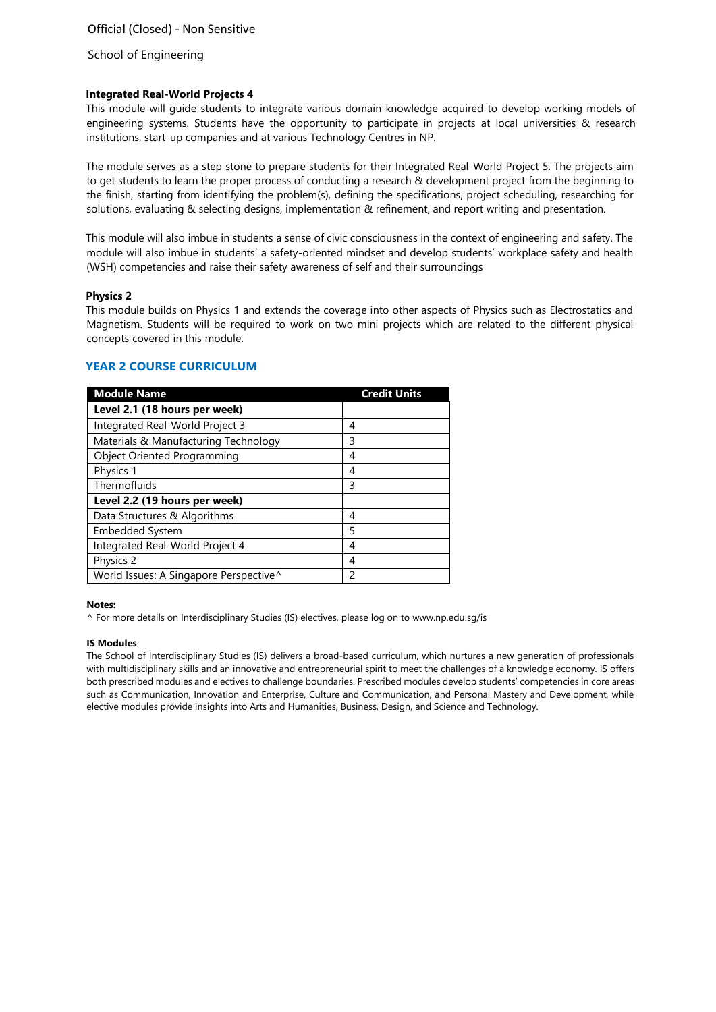#### **Integrated Real-World Projects 4**

This module will guide students to integrate various domain knowledge acquired to develop working models of engineering systems. Students have the opportunity to participate in projects at local universities & research institutions, start-up companies and at various Technology Centres in NP.

The module serves as a step stone to prepare students for their Integrated Real-World Project 5. The projects aim to get students to learn the proper process of conducting a research & development project from the beginning to the finish, starting from identifying the problem(s), defining the specifications, project scheduling, researching for solutions, evaluating & selecting designs, implementation & refinement, and report writing and presentation.

This module will also imbue in students a sense of civic consciousness in the context of engineering and safety. The module will also imbue in students' a safety-oriented mindset and develop students' workplace safety and health (WSH) competencies and raise their safety awareness of self and their surroundings

#### **Physics 2**

This module builds on Physics 1 and extends the coverage into other aspects of Physics such as Electrostatics and Magnetism. Students will be required to work on two mini projects which are related to the different physical concepts covered in this module.

| <b>Module Name</b>                     | <b>Credit Units</b> |
|----------------------------------------|---------------------|
| Level 2.1 (18 hours per week)          |                     |
| Integrated Real-World Project 3        | 4                   |
| Materials & Manufacturing Technology   | 3                   |
| <b>Object Oriented Programming</b>     | 4                   |
| Physics 1                              | 4                   |
| Thermofluids                           | 3                   |
| Level 2.2 (19 hours per week)          |                     |
| Data Structures & Algorithms           | 4                   |
| Embedded System                        | 5                   |
| Integrated Real-World Project 4        | 4                   |
| Physics 2                              | 4                   |
| World Issues: A Singapore Perspective^ | 2                   |

## **YEAR 2 COURSE CURRICULUM**

#### **Notes:**

^ For more details on Interdisciplinary Studies (IS) electives, please log on to [www.np.edu.sg/is](http://www.np.edu.sg/is/)

#### **IS Modules**

The School of Interdisciplinary Studies (IS) delivers a broad-based curriculum, which nurtures a new generation of professionals with multidisciplinary skills and an innovative and entrepreneurial spirit to meet the challenges of a knowledge economy. IS offers both prescribed modules and electives to challenge boundaries. Prescribed modules develop students' competencies in core areas such as Communication, Innovation and Enterprise, Culture and Communication, and Personal Mastery and Development, while elective modules provide insights into Arts and Humanities, Business, Design, and Science and Technology.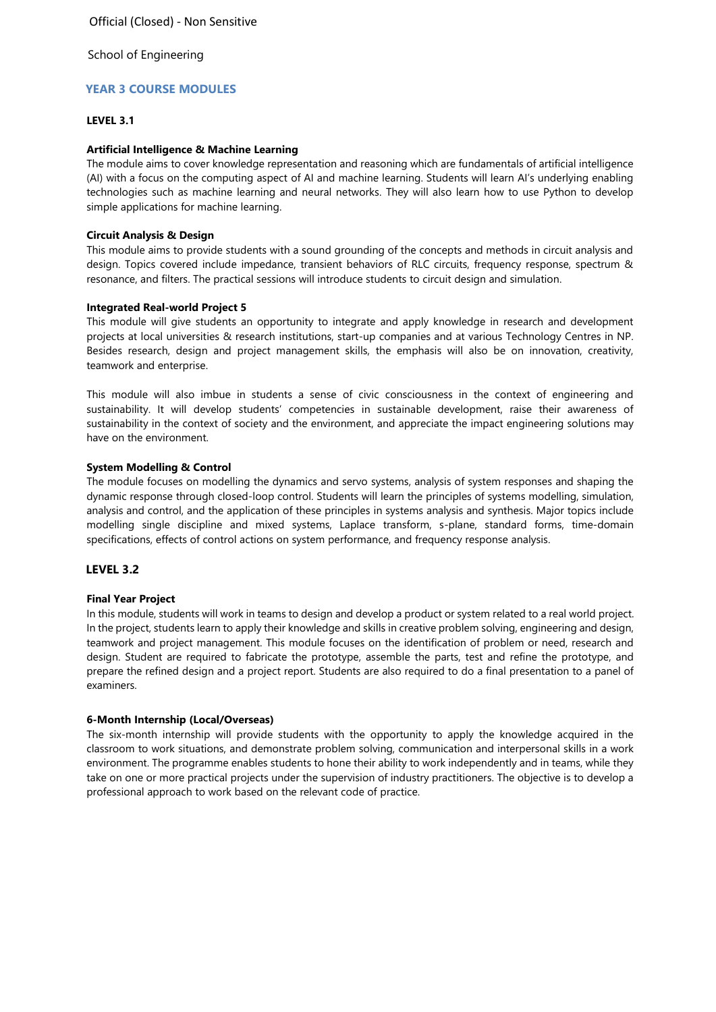# **YEAR 3 COURSE MODULES**

#### **LEVEL 3.1**

#### **Artificial Intelligence & Machine Learning**

The module aims to cover knowledge representation and reasoning which are fundamentals of artificial intelligence (AI) with a focus on the computing aspect of AI and machine learning. Students will learn AI's underlying enabling technologies such as machine learning and neural networks. They will also learn how to use Python to develop simple applications for machine learning.

### **Circuit Analysis & Design**

This module aims to provide students with a sound grounding of the concepts and methods in circuit analysis and design. Topics covered include impedance, transient behaviors of RLC circuits, frequency response, spectrum & resonance, and filters. The practical sessions will introduce students to circuit design and simulation.

### **Integrated Real-world Project 5**

This module will give students an opportunity to integrate and apply knowledge in research and development projects at local universities & research institutions, start-up companies and at various Technology Centres in NP. Besides research, design and project management skills, the emphasis will also be on innovation, creativity, teamwork and enterprise.

This module will also imbue in students a sense of civic consciousness in the context of engineering and sustainability. It will develop students' competencies in sustainable development, raise their awareness of sustainability in the context of society and the environment, and appreciate the impact engineering solutions may have on the environment.

#### **System Modelling & Control**

The module focuses on modelling the dynamics and servo systems, analysis of system responses and shaping the dynamic response through closed-loop control. Students will learn the principles of systems modelling, simulation, analysis and control, and the application of these principles in systems analysis and synthesis. Major topics include modelling single discipline and mixed systems, Laplace transform, s-plane, standard forms, time-domain specifications, effects of control actions on system performance, and frequency response analysis.

### **LEVEL 3.2**

### **Final Year Project**

In this module, students will work in teams to design and develop a product or system related to a real world project. In the project, students learn to apply their knowledge and skills in creative problem solving, engineering and design, teamwork and project management. This module focuses on the identification of problem or need, research and design. Student are required to fabricate the prototype, assemble the parts, test and refine the prototype, and prepare the refined design and a project report. Students are also required to do a final presentation to a panel of examiners.

#### **6-Month Internship (Local/Overseas)**

The six-month internship will provide students with the opportunity to apply the knowledge acquired in the classroom to work situations, and demonstrate problem solving, communication and interpersonal skills in a work environment. The programme enables students to hone their ability to work independently and in teams, while they take on one or more practical projects under the supervision of industry practitioners. The objective is to develop a professional approach to work based on the relevant code of practice.